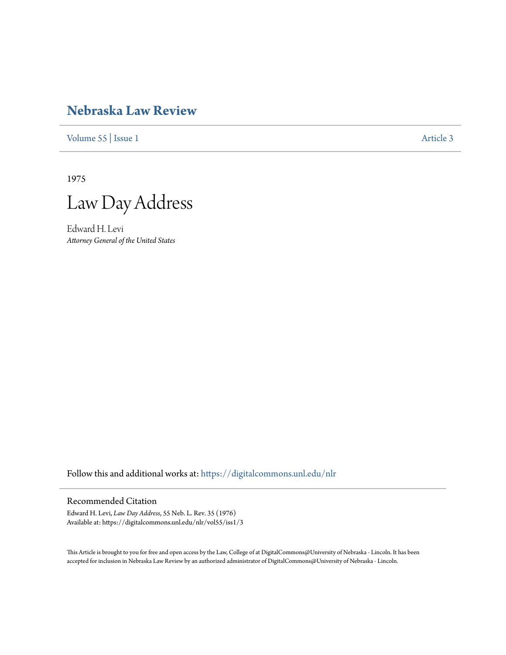# **[Nebraska Law Review](https://digitalcommons.unl.edu/nlr?utm_source=digitalcommons.unl.edu%2Fnlr%2Fvol55%2Fiss1%2F3&utm_medium=PDF&utm_campaign=PDFCoverPages)**

[Volume 55](https://digitalcommons.unl.edu/nlr/vol55?utm_source=digitalcommons.unl.edu%2Fnlr%2Fvol55%2Fiss1%2F3&utm_medium=PDF&utm_campaign=PDFCoverPages) | [Issue 1](https://digitalcommons.unl.edu/nlr/vol55/iss1?utm_source=digitalcommons.unl.edu%2Fnlr%2Fvol55%2Fiss1%2F3&utm_medium=PDF&utm_campaign=PDFCoverPages) [Article 3](https://digitalcommons.unl.edu/nlr/vol55/iss1/3?utm_source=digitalcommons.unl.edu%2Fnlr%2Fvol55%2Fiss1%2F3&utm_medium=PDF&utm_campaign=PDFCoverPages)

1975



Edward H. Levi *Attorney General of the United States*

Follow this and additional works at: [https://digitalcommons.unl.edu/nlr](https://digitalcommons.unl.edu/nlr?utm_source=digitalcommons.unl.edu%2Fnlr%2Fvol55%2Fiss1%2F3&utm_medium=PDF&utm_campaign=PDFCoverPages)

### Recommended Citation

Edward H. Levi, *Law Day Address*, 55 Neb. L. Rev. 35 (1976) Available at: https://digitalcommons.unl.edu/nlr/vol55/iss1/3

This Article is brought to you for free and open access by the Law, College of at DigitalCommons@University of Nebraska - Lincoln. It has been accepted for inclusion in Nebraska Law Review by an authorized administrator of DigitalCommons@University of Nebraska - Lincoln.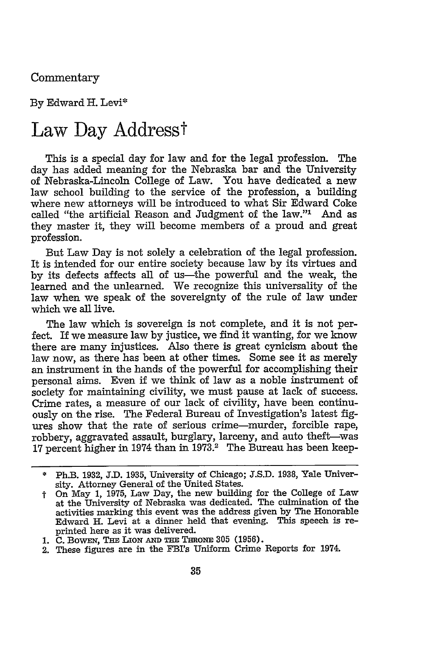### Commentary

By Edward H. Levi\*

## Law Day Addresst

This is a special day for law and for the legal profession. The day has added meaning for the Nebraska bar and the University of Nebraska-Lincoln College of Law. You have dedicated a new law school building to the service of the profession, a building where new attorneys will be introduced to what Sir Edward Coke called "the artificial Reason and Judgment of the law."1 And as they master it, they will become members of a proud and great profession.

But Law Day is not solely a celebration of the legal profession. It is intended for our entire society because law by its virtues and by its defects affects all of us-the powerful and the weak, the learned and the unlearned. We recognize this universality of the law when we speak of the sovereignty of the rule of law under which we all live.

The law which is sovereign is not complete, and it is not perfect. If we measure law by justice, we find it wanting, for we know there are many injustices. Also there is great cynicism about the law now, as there has been at other times. Some see it as merely an instrument in the hands of the powerful for accomplishing their personal aims. Even if we think of law as a noble instrument of society for maintaining civility, we must pause at lack of success. Crime rates, a measure of our lack of civility, have been continuously on the rise. The Federal Bureau of Investigation's latest figures show that the rate of serious crime-murder, forcible rape, robbery, aggravated assault, burglary, larceny, and auto theft-was 17 percent higher in 1974 than in **1973.2** The Bureau has been keep-

<sup>\*</sup> Ph.B. 1932, J.D. **1935,** University of Chicago; J.S.D. 1938, Yale University. Attorney General of the United States.

t On May 1, 1975, Law Day, the new building for the College of Law at the University of Nebraska was dedicated. The culmination of the activities marking this event was the address given by The Honorable Edward H. Levi at a dinner held that evening. This speech is reprinted here as it was delivered.

<sup>1.</sup> C. Bowen, The Lion and the Throne 305 (1956).

<sup>2.</sup> These figures are in the FBI's Uniform Crime Reports for 1974.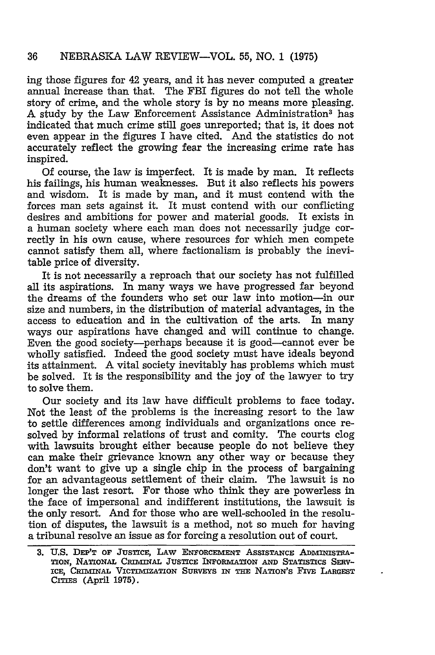ing those figures for 42 years, and it has never computed a greater annual increase than that. The FBI figures do not tell the whole story of crime, and the whole story is by no means more pleasing. A study by the Law Enforcement Assistance Administration<sup>3</sup> has indicated that much crime still goes unreported; that is, it does not even appear in the figures I have cited. And the statistics do not accurately reflect the growing fear the increasing crime rate has inspired.

Of course, the law is imperfect. It is made by man. It reflects his failings, his human weaknesses. But it also reflects his powers and wisdom. It is made by man, and it must contend with the forces man sets against it. It must contend with our conflicting desires and ambitions for power and material goods. It exists in a human society where each man does not necessarily judge correctly in his own cause, where resources for which men compete cannot satisfy them all, where factionalism is probably the inevitable price of diversity.

It is not necessarily a reproach that our society has not fulfilled all its aspirations. In many ways we have progressed far beyond the dreams of the founders who set our law into motion-in our size and numbers, in the distribution of material advantages, in the access to education and in the cultivation of the arts. In many ways our aspirations have changed and will continue to change. Even the good society-perhaps because it is good-cannot ever be wholly satisfied. Indeed the good society must have ideals beyond its attainment. A vital society inevitably has problems which must be solved. It is the responsibility and the joy of the lawyer to try to solve them.

Our society and its law have difficult problems to face today. Not the least of the problems is the increasing resort to the law to settle differences among individuals and organizations once resolved by informal relations of trust and comity. The courts clog with lawsuits brought either because people do not believe they can make their grievance known any other way or because they don't want to give up a single chip in the process of bargaining for an advantageous settlement of their claim. The lawsuit is no longer the last resort. For those who think they are powerless in the face of impersonal and indifferent institutions, the lawsuit is the only resort. And for those who are well-schooled in the resolution of disputes, the lawsuit is a method, not so much for having a tribunal resolve an issue as for forcing a resolution out of court.

<sup>3.</sup> U.S. **DEP'T or** JusTIc, **LAw ENFORCEMENT ASSISTANCE ADMINISTRA-**TION, NATIONAL CRIMINAL JUSTICE INFORMATION AND STATISTICS SERV-**ICE,** CRIMINAL **VICTIMvIZATION SURVEYS IN THE** NATION'S **FIVE** LARGEST **CITIES** (April 1975).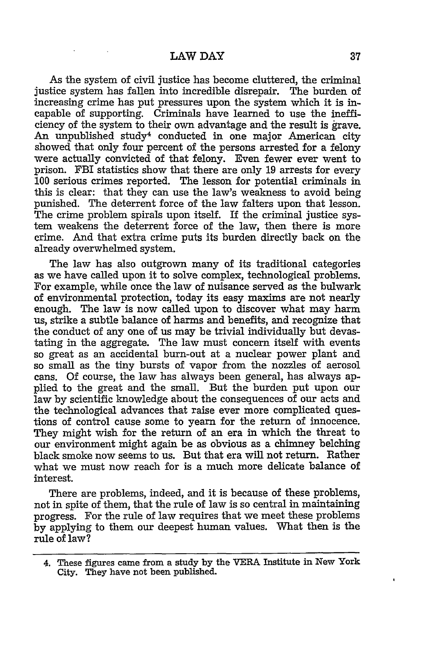As the system of civil justice has become cluttered, the criminal justice system has fallen into incredible disrepair. The burden of increasing crime has put pressures upon the system which it is incapable of supporting. Criminals have learned to use the inefficiency of the system to their own advantage and the result is grave. An unpublished study<sup>4</sup> conducted in one major American city showed that only four percent of the persons arrested for a felony were actually convicted of that felony. Even fewer ever went to prison. FBI statistics show that there are only 19 arrests for every 100 serious crimes reported. The lesson for potential criminals in this is clear: that they can use the law's weakness to avoid being punished. The deterrent force of the law falters upon that lesson. The crime problem spirals upon itself. If the criminal justice system weakens the deterrent force of the law, then there is more crime. And that extra crime puts its burden directly back on the already overwhelmed system.

The law has also outgrown many of its traditional categories as we have called upon it to solve complex, technological problems. For example, while once the law of nuisance served as the bulwark of environmental protection, today its easy maxims are not nearly enough. The law is now called upon to discover what may harm us, strike a subtle balance of harms and benefits, and recognize that the conduct of any one of us may be trivial individually but devastating in the aggregate. The law must concern itself with events so great as an accidental burn-out at a nuclear power plant and so small as the tiny bursts of vapor from the nozzles of aerosol cans. Of course, the law has always been general, has always applied to the great and the small. But the burden put upon our law by scientific knowledge about the consequences of our acts and the technological advances that raise ever more complicated questions of control cause some to yearn for the return of innocence. They might wish for the return of an era in which the threat to our environment might again be as obvious as a chimney belching black smoke now seems to us. But that era will not return. Rather what we must now reach for is a much more delicate balance of interest.

There are problems, indeed, and it is because of these problems, not in spite of them, that the rule of law is so central in maintaining progress. For the rule of law requires that we meet these problems by applying to them our deepest human values. What then is the rule of law?

<sup>4.</sup> These figures came from a study by the VERA Institute in New York City. They have not been published.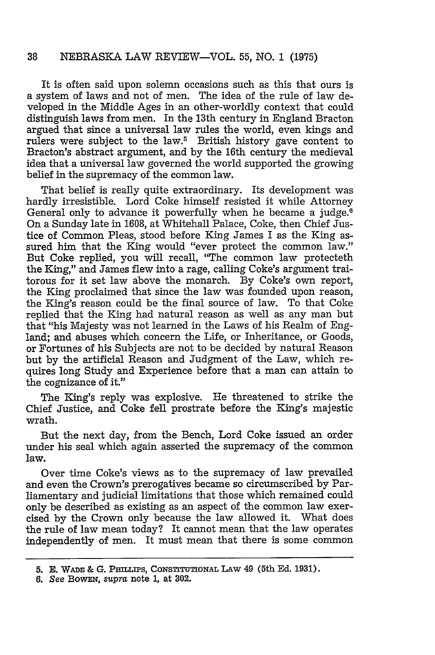#### **38** NEBRASKA LAW REVIEW-VOL. 55, **NO. 1 (1975)**

It is often said upon solemn occasions such as this that ours is a system of laws and not of men. The idea of the rule of law developed in the Middle Ages in an other-worldly context that could distinguish laws from men. In the 13th century in England Bracton argued that since a universal law rules the world, even kings and rulers were subject to the law.5 British history gave content to Bracton's abstract argument, and by the 16th century the medieval idea that a universal law governed the world supported the growing belief in the supremacy of the common law.

That belief is really quite extraordinary. Its development was hardly irresistible. Lord Coke himself resisted it while Attorney General only to advance it powerfully when he became a judge.<sup>6</sup> On a Sunday late in 1608, at Whitehall Palace, Coke, then Chief Justice of Common Pleas, stood before King James I as the King assured him that the King would "ever protect the common law." But Coke replied, you will recall, "The common law protecteth the King," and James flew into a rage, calling Coke's argument traitorous for it set law above the monarch. By Coke's own report, the King proclaimed that since the law was founded upon reason, the King's reason could be the final source of law. To that Coke replied that the King had natural reason as well as any man but that "his Majesty was not learned in the Laws of his Realm of England; and abuses which concern the Life, or Inheritance, or Goods, or Fortunes of his Subjects are not to be decided by natural Reason but by the artificial Reason and Judgment of the Law, which requires long Study and Experience before that a man can attain to the cognizance of it."

The King's reply was explosive. **He** threatened to strike the Chief Justice, and Coke fell prostrate before the King's majestic wrath.

But the next day, from the Bench, Lord Coke issued an order under his seal which again asserted the supremacy of the common law.

Over time Coke's views as to the supremacy of law prevailed and even the Crown's prerogatives became so circumscribed by Parliamentary and judicial limitations that those which remained could only be described as existing as an aspect of the common law exercised by the Crown only because the law allowed it. What does the rule of law mean today? It cannot mean that the law operates independently of men. It must mean that there is some common

**<sup>5.</sup> E.** WADE & G. **PHILLIPs, CoNsTrrTONAL** LAW 49 (5th **Ed. 1931).**

*<sup>6.</sup> See* BowEN, *supra* note 1, at 302.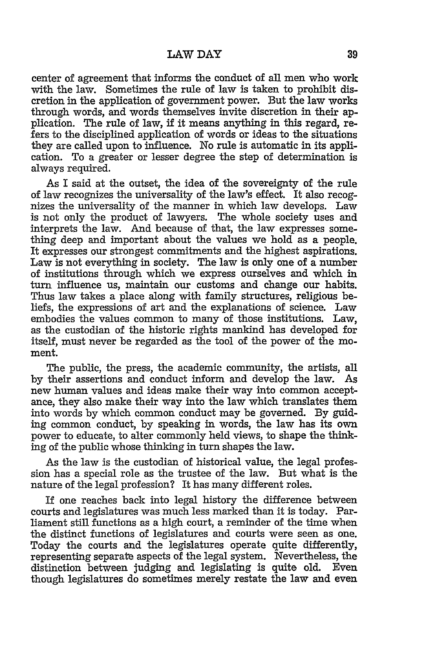center of agreement that informs the conduct of all men who work with the law. Sometimes the rule of law is taken to prohibit discretion in the application of government power. But the law works through words, and words themselves invite discretion in their application. The rule of law, if it means anything in this regard, refers to the disciplined application of words or ideas to the situations they are called upon to influence. No rule is automatic in its application. To a greater or lesser degree the step of determination is always required.

As I said at the outset, the idea of the sovereignty of the rule of law recognizes the universality of the law's effect. It also recognizes the universality of the manner in which law develops. Law is not only the product of lawyers. The whole society uses and interprets the law. And because of that, the law expresses something deep and important about the values we hold as a people. It expresses our strongest commitments and the highest aspirations. Law is not everything in society. The law is only one of a number of institutions through which we express ourselves and which in turn influence us, maintain our customs and change our habits. Thus law takes a place along with family structures, religious beliefs, the expressions of art and the explanations of science. Law embodies the values common to many of those institutions. Law, as the custodian of the historic rights mankind has developed for itself, must never be regarded as the tool of the power of the moment.

The public, the press, the academic community, the artists, all by their assertions and conduct inform and develop the law. As new human values and ideas make their way into common acceptance, they also make their way into the law which translates them into words by which common conduct may be governed. By guiding common conduct, by speaking in words, the law has its own power to educate, to alter commonly held views, to shape the thinking of the public whose thinking in turn shapes the law.

As the law is the custodian of historical value, the legal profession has a special role as the trustee of the law. But what is the nature of the legal profession? It has many different roles.

If one reaches back into legal history the difference between courts and legislatures was much less marked than it is today. Parliament still functions as a high court, a reminder of the time when the distinct functions of legislatures and courts were seen as one. Today the courts and the legislatures operate quite differently, representing separate aspects of the legal system. Nevertheless, the distinction between judging and legislating is quite old. Even though legislatures do sometimes merely restate the law and even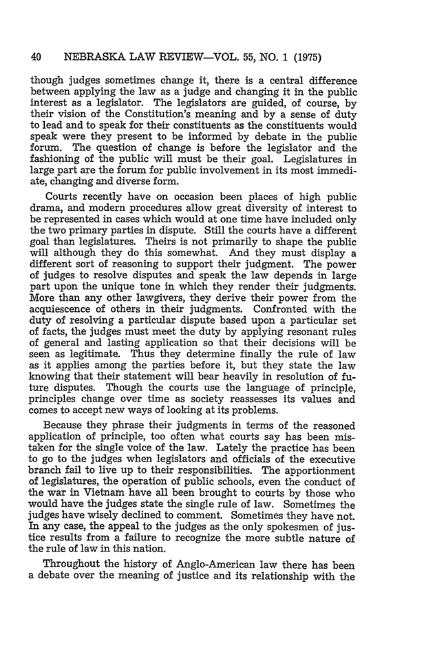### 40 NEBRASKA LAW REVIEW-VOL. **55, NO. 1 (1975)**

though judges sometimes change it, there is a central difference between applying the law as a judge and changing it in the public interest as a legislator. The legislators are guided, of course, by their vision of the Constitution's meaning and by a sense of duty to lead and to speak for their constituents as the constituents would speak were they present to be informed by debate in the public forum. The question of change is before the legislator and the fashioning of the public will must be their goal. Legislatures in large part are the forum for public involvement in its most immediate, changing and diverse form.

Courts recently have on occasion been places of high public drama, and modern procedures allow great diversity of interest to be represented in cases which would at one time have included only the two primary parties in dispute. Still the courts have a different goal than legislatures. Theirs is not primarily to shape the public will although they do this somewhat. And they must display a different sort of reasoning to support their judgment. The power of judges to resolve disputes and speak the law depends in large part upon the unique tone in which they render their judgments. More than any other lawgivers, they derive their power from the acquiescence of others in their judgments. Confronted with the duty of resolving a particular dispute based upon a particular set of facts, the judges must meet the duty by applying resonant rules of general and lasting application so that their decisions will be seen as legitimate. Thus they determine finally the rule of law as it applies among the parties before it, but they state the law knowing that their statement will bear heavily in resolution of future disputes. Though the courts use the language of principle, principles change over time as society reassesses its values and comes to accept new ways of looking at its problems.

Because they phrase their judgments in terms of the reasoned application of principle, too often what courts say has been mistaken for the single voice of the law. Lately the practice has been to go to the judges when legislators and officials of the executive branch fail to live up to their responsibilities. The apportionment of legislatures, the operation of public schools, even the conduct of the war in Vietnam have all been brought to courts by those who would have the judges state the single rule of law. Sometimes the judges have wisely declined to comment. Sometimes they have not. In any case, the appeal to the judges as the only spokesmen of justice results from a failure to recognize the more subtle nature of the rule of law in this nation.

Throughout the history of Anglo-American law there has been a debate over the meaning of justice and its relationship with the